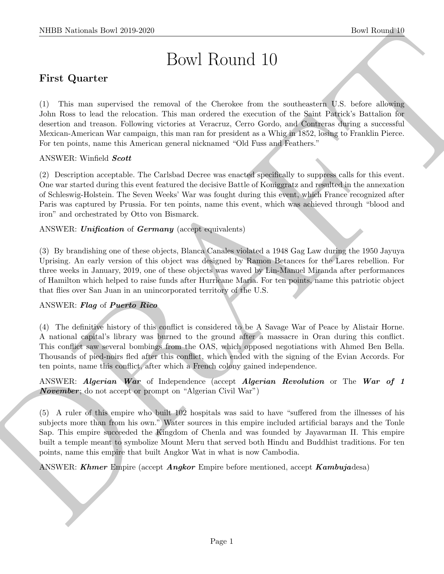# Bowl Round 10

# First Quarter

NIBB Noticeals how 2019-2020<br>
DOWL ROUTICE 1D<br>
First Quarter<br>
1) The map approximated the means of the Chernica form the anatometers in St. Series allows<br>the absorption of the state of the mean of the Steadhout Control of (1) This man supervised the removal of the Cherokee from the southeastern U.S. before allowing John Ross to lead the relocation. This man ordered the execution of the Saint Patrick's Battalion for desertion and treason. Following victories at Veracruz, Cerro Gordo, and Contreras during a successful Mexican-American War campaign, this man ran for president as a Whig in 1852, losing to Franklin Pierce. For ten points, name this American general nicknamed "Old Fuss and Feathers."

## ANSWER: Winfield Scott

(2) Description acceptable. The Carlsbad Decree was enacted specifically to suppress calls for this event. One war started during this event featured the decisive Battle of Koniggratz and resulted in the annexation of Schleswig-Holstein. The Seven Weeks' War was fought during this event, which France recognized after Paris was captured by Prussia. For ten points, name this event, which was achieved through "blood and iron" and orchestrated by Otto von Bismarck.

ANSWER: Unification of Germany (accept equivalents)

(3) By brandishing one of these objects, Blanca Canales violated a 1948 Gag Law during the 1950 Jayuya Uprising. An early version of this object was designed by Ramon Betances for the Lares rebellion. For three weeks in January, 2019, one of these objects was waved by Lin-Manuel Miranda after performances of Hamilton which helped to raise funds after Hurricane Maria. For ten points, name this patriotic object that flies over San Juan in an unincorporated territory of the U.S.

## ANSWER: Flag of Puerto Rico

(4) The definitive history of this conflict is considered to be A Savage War of Peace by Alistair Horne. A national capital's library was burned to the ground after a massacre in Oran during this conflict. This conflict saw several bombings from the OAS, which opposed negotiations with Ahmed Ben Bella. Thousands of pied-noirs fled after this conflict, which ended with the signing of the Evian Accords. For ten points, name this conflict, after which a French colony gained independence.

ANSWER: Algerian War of Independence (accept Algerian Revolution or The War of 1 **November**; do not accept or prompt on "Algerian Civil War")

(5) A ruler of this empire who built 102 hospitals was said to have "suffered from the illnesses of his subjects more than from his own." Water sources in this empire included artificial barays and the Tonle Sap. This empire succeeded the Kingdom of Chenla and was founded by Jayavarman II. This empire built a temple meant to symbolize Mount Meru that served both Hindu and Buddhist traditions. For ten points, name this empire that built Angkor Wat in what is now Cambodia.

ANSWER: *Khmer* Empire (accept *Angkor* Empire before mentioned, accept *Kambujadesa*)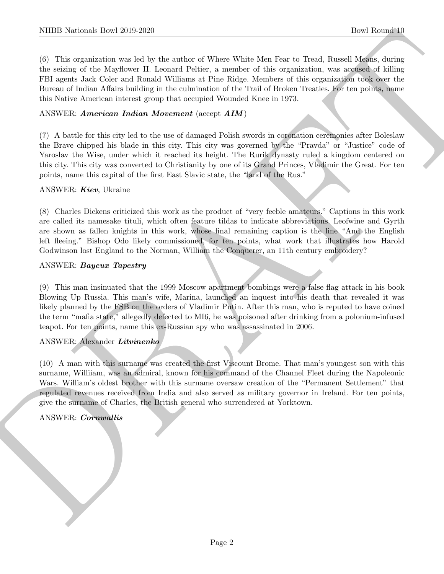(6) This organization was led by the author of Where White Men Fear to Tread, Russell Means, during the seizing of the Mayflower II. Leonard Peltier, a member of this organization, was accused of killing FBI agents Jack Coler and Ronald Williams at Pine Ridge. Members of this organization took over the Bureau of Indian Affairs building in the culmination of the Trail of Broken Treaties. For ten points, name this Native American interest group that occupied Wounded Knee in 1973.

#### ANSWER: American Indian Movement (accept AIM)

(7) A battle for this city led to the use of damaged Polish swords in coronation ceremonies after Boleslaw the Brave chipped his blade in this city. This city was governed by the "Pravda" or "Justice" code of Yaroslav the Wise, under which it reached its height. The Rurik dynasty ruled a kingdom centered on this city. This city was converted to Christianity by one of its Grand Princes, Vladimir the Great. For ten points, name this capital of the first East Slavic state, the "land of the Rus."

#### ANSWER: Kiev, Ukraine

(8) Charles Dickens criticized this work as the product of "very feeble amateurs." Captions in this work are called its namesake tituli, which often feature tildas to indicate abbreviations. Leofwine and Gyrth are shown as fallen knights in this work, whose final remaining caption is the line "And the English left fleeing." Bishop Odo likely commissioned, for ten points, what work that illustrates how Harold Godwinson lost England to the Norman, William the Conquerer, an 11th century embroidery?

#### ANSWER: Bayeux Tapestry

(9) This man insinuated that the 1999 Moscow apartment bombings were a false flag attack in his book Blowing Up Russia. This man's wife, Marina, launched an inquest into his death that revealed it was likely planned by the FSB on the orders of Vladimir Putin. After this man, who is reputed to have coined the term "mafia state," allegedly defected to MI6, he was poisoned after drinking from a polonium-infused teapot. For ten points, name this ex-Russian spy who was assassinated in 2006.

## ANSWER: Alexander Litvinenko

NIBB Noticeals how 2019-2020.<br>
The linearity of the Matter of Wasse Walse Matter is Decembed to the School Matter of the School Matter of the School Matter of the Matter of the Matter of the Matter of the Matter of the Ma (10) A man with this surname was created the first Viscount Brome. That man's youngest son with this surname, Williiam, was an admiral, known for his command of the Channel Fleet during the Napoleonic Wars. William's oldest brother with this surname oversaw creation of the "Permanent Settlement" that regulated revenues received from India and also served as military governor in Ireland. For ten points, give the surname of Charles, the British general who surrendered at Yorktown.

## ANSWER: Cornwallis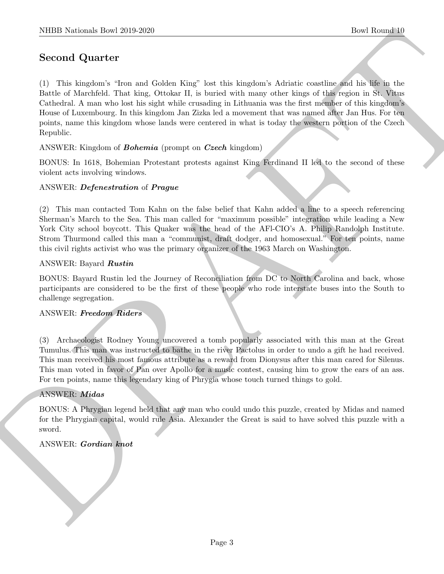# Second Quarter

NIBB Noticeals how 2019-2020<br>
Second Quarter (2) The single system is the single of the single system is a single of the single system is the single of the single system is the system of the single of the single of the si (1) This kingdom's "Iron and Golden King" lost this kingdom's Adriatic coastline and his life in the Battle of Marchfeld. That king, Ottokar II, is buried with many other kings of this region in St. Vitus Cathedral. A man who lost his sight while crusading in Lithuania was the first member of this kingdom's House of Luxembourg. In this kingdom Jan Zizka led a movement that was named after Jan Hus. For ten points, name this kingdom whose lands were centered in what is today the western portion of the Czech Republic.

ANSWER: Kingdom of Bohemia (prompt on Czech kingdom)

BONUS: In 1618, Bohemian Protestant protests against King Ferdinand II led to the second of these violent acts involving windows.

# ANSWER: Defenestration of Prague

(2) This man contacted Tom Kahn on the false belief that Kahn added a line to a speech referencing Sherman's March to the Sea. This man called for "maximum possible" integration while leading a New York City school boycott. This Quaker was the head of the AFl-CIO's A. Philip Randolph Institute. Strom Thurmond called this man a "communist, draft dodger, and homosexual." For ten points, name this civil rights activist who was the primary organizer of the 1963 March on Washington.

## ANSWER: Bayard Rustin

BONUS: Bayard Rustin led the Journey of Reconciliation from DC to North Carolina and back, whose participants are considered to be the first of these people who rode interstate buses into the South to challenge segregation.

## ANSWER: Freedom Riders

(3) Archaeologist Rodney Young uncovered a tomb popularly associated with this man at the Great Tumulus. This man was instructed to bathe in the river Pactolus in order to undo a gift he had received. This man received his most famous attribute as a reward from Dionysus after this man cared for Silenus. This man voted in favor of Pan over Apollo for a music contest, causing him to grow the ears of an ass. For ten points, name this legendary king of Phrygia whose touch turned things to gold.

## ANSWER: Midas

BONUS: A Phrygian legend held that any man who could undo this puzzle, created by Midas and named for the Phrygian capital, would rule Asia. Alexander the Great is said to have solved this puzzle with a sword.

## ANSWER: Gordian knot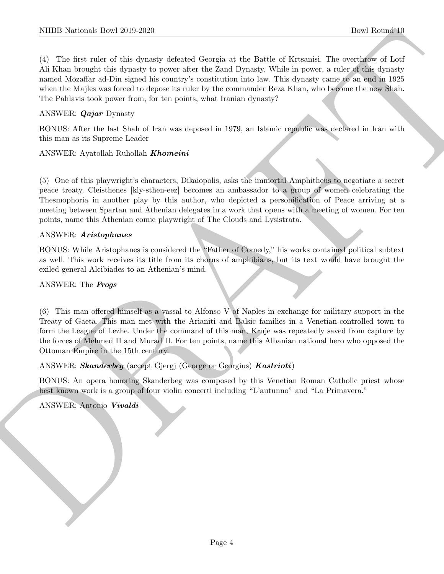NIBB Notionals how 2019-2020<br>
(1) The fixes oder of the symptom of the symptom of the Bottle of Kissualis and<br>
(1) The fixes of the distribution of the symptom of the symptom of the symptom of the symptom of the<br>
AT West (4) The first ruler of this dynasty defeated Georgia at the Battle of Krtsanisi. The overthrow of Lotf Ali Khan brought this dynasty to power after the Zand Dynasty. While in power, a ruler of this dynasty named Mozaffar ad-Din signed his country's constitution into law. This dynasty came to an end in 1925 when the Majles was forced to depose its ruler by the commander Reza Khan, who become the new Shah. The Pahlavis took power from, for ten points, what Iranian dynasty?

## ANSWER: Qajar Dynasty

BONUS: After the last Shah of Iran was deposed in 1979, an Islamic republic was declared in Iran with this man as its Supreme Leader

#### ANSWER: Ayatollah Ruhollah Khomeini

(5) One of this playwright's characters, Dikaiopolis, asks the immortal Amphitheus to negotiate a secret peace treaty. Cleisthenes [kly-sthen-eez] becomes an ambassador to a group of women celebrating the Thesmophoria in another play by this author, who depicted a personification of Peace arriving at a meeting between Spartan and Athenian delegates in a work that opens with a meeting of women. For ten points, name this Athenian comic playwright of The Clouds and Lysistrata.

#### ANSWER: Aristophanes

BONUS: While Aristophanes is considered the "Father of Comedy," his works contained political subtext as well. This work receives its title from its chorus of amphibians, but its text would have brought the exiled general Alcibiades to an Athenian's mind.

#### ANSWER: The Frogs

(6) This man offered himself as a vassal to Alfonso V of Naples in exchange for military support in the Treaty of Gaeta. This man met with the Arianiti and Balsic families in a Venetian-controlled town to form the League of Lezhe. Under the command of this man, Kruje was repeatedly saved from capture by the forces of Mehmed II and Murad II. For ten points, name this Albanian national hero who opposed the Ottoman Empire in the 15th century.

#### ANSWER: Skanderbeg (accept Gjergj (George or Georgius) Kastrioti)

BONUS: An opera honoring Skanderbeg was composed by this Venetian Roman Catholic priest whose best known work is a group of four violin concerti including "L'autunno" and "La Primavera."

#### ANSWER: Antonio Vivaldi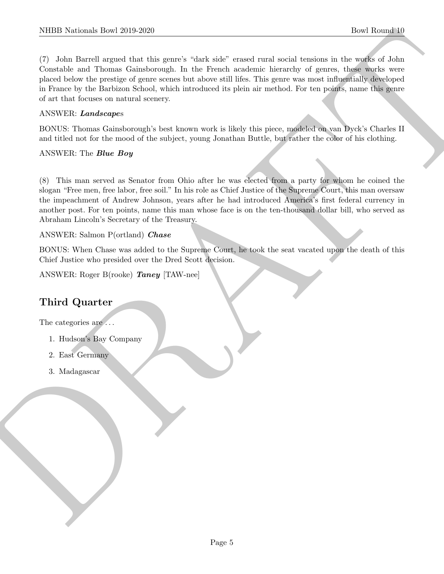NIBB Noticeals how 2019-2020<br>
The liberal signal and this entary shot, sink and a small and small business in the subset of the signal signal and control control of the state of the state of the state point is the state o (7) John Barrell argued that this genre's "dark side" erased rural social tensions in the works of John Constable and Thomas Gainsborough. In the French academic hierarchy of genres, these works were placed below the prestige of genre scenes but above still lifes. This genre was most influentially developed in France by the Barbizon School, which introduced its plein air method. For ten points, name this genre of art that focuses on natural scenery.

## ANSWER: Landscapes

BONUS: Thomas Gainsborough's best known work is likely this piece, modeled on van Dyck's Charles II and titled not for the mood of the subject, young Jonathan Buttle, but rather the color of his clothing.

## ANSWER: The *Blue Boy*

(8) This man served as Senator from Ohio after he was elected from a party for whom he coined the slogan "Free men, free labor, free soil." In his role as Chief Justice of the Supreme Court, this man oversaw the impeachment of Andrew Johnson, years after he had introduced America's first federal currency in another post. For ten points, name this man whose face is on the ten-thousand dollar bill, who served as Abraham Lincoln's Secretary of the Treasury.

## ANSWER: Salmon P(ortland) Chase

BONUS: When Chase was added to the Supreme Court, he took the seat vacated upon the death of this Chief Justice who presided over the Dred Scott decision.

ANSWER: Roger B(rooke) Taney [TAW-nee]

# Third Quarter

The categories are  $\dots$ 

- 1. Hudson's Bay Company
- 2. East Germany
- 3. Madagascar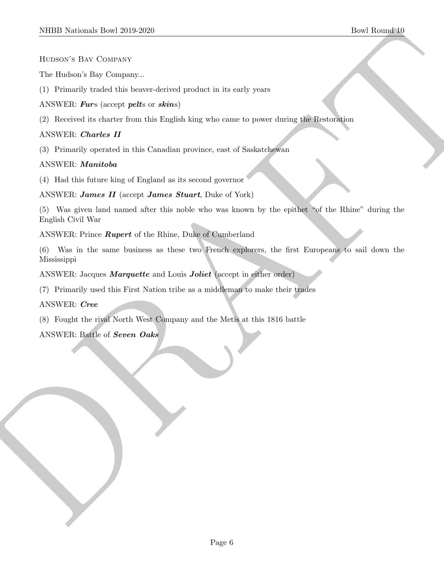#### Hudson's Bay Company

The Hudson's Bay Company...

(1) Primarily traded this beaver-derived product in its early years

# ANSWER: Furs (accept pelts or skins)

(2) Received its charter from this English king who came to power during the Restoration

# ANSWER: Charles II

(3) Primarily operated in this Canadian province, east of Saskatchewan

# ANSWER: Manitoba

(4) Had this future king of England as its second governor

# ANSWER: James II (accept James Stuart, Duke of York)

(5) Was given land named after this noble who was known by the epithet "of the Rhine" during the English Civil War

## ANSWER: Prince Rupert of the Rhine, Duke of Cumberland

NIEED Notionals Down 2010-2020<br>
How therefore Bay Contexts<br>
Let the decision of the bosonic distribution in the early system<br>
(1) Privatively resulted to bosonic distribution in the early system<br>
ANNEW RE CROSSER Advantage (6) Was in the same business as these two French explorers, the first Europeans to sail down the Mississippi

ANSWER: Jacques *Marquette* and Louis *Joliet* (accept in either order)

(7) Primarily used this First Nation tribe as a middleman to make their trades

ANSWER: Cree

(8) Fought the rival North West Company and the Metis at this 1816 battle

# ANSWER: Battle of Seven Oaks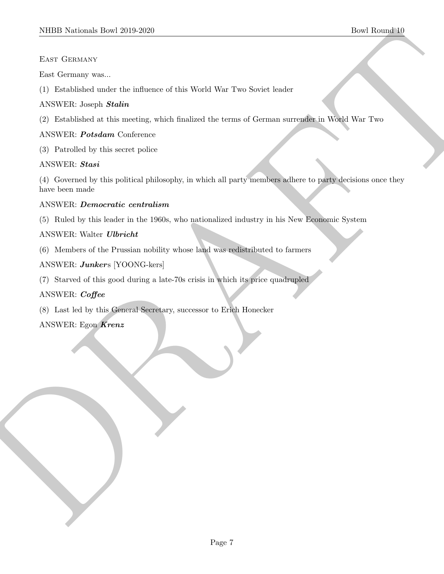# East Germany

East Germany was...

(1) Established under the influence of this World War Two Soviet leader

# ANSWER: Joseph Stalin

(2) Established at this meeting, which finalized the terms of German surrender in World War Two

# ANSWER: Potsdam Conference

(3) Patrolled by this secret police

# ANSWER: Stasi

SIDDI Notional: Dow 2019-2020<br>
E.s. Greensey was<br>
E.s. Greensey was<br>
(1) Datables at most the influence of this World Wer Two Soviet leader<br>
ANNY RE Jeans of the assessor pulse which is distinct the same of German survani (4) Governed by this political philosophy, in which all party members adhere to party decisions once they have been made

# ANSWER: Democratic centralism

(5) Ruled by this leader in the 1960s, who nationalized industry in his New Economic System

# ANSWER: Walter Ulbricht

(6) Members of the Prussian nobility whose land was redistributed to farmers

# ANSWER: Junkers [YOONG-kers]

(7) Starved of this good during a late-70s crisis in which its price quadrupled

# ANSWER: Coffee

(8) Last led by this General Secretary, successor to Erich Honecker

# ANSWER: Egon Krenz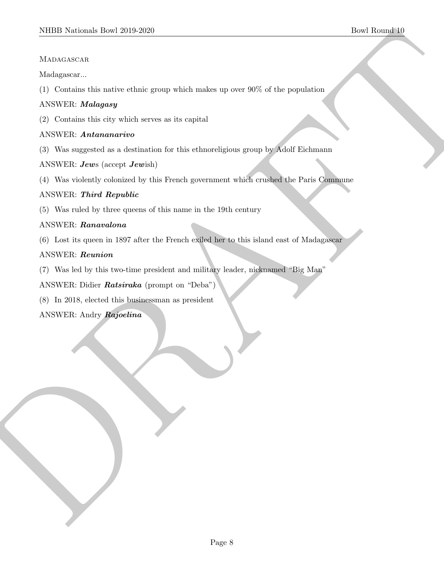## **MADAGASCAR**

Madagascar...

(1) Contains this native ethnic group which makes up over 90% of the population

# ANSWER: Malagasy

(2) Contains this city which serves as its capital

# ANSWER: Antananarivo

(3) Was suggested as a destination for this ethnoreligious group by Adolf Eichmann

ANSWER: Jews (accept Jewish)

(4) Was violently colonized by this French government which crushed the Paris Commune

# ANSWER: Third Republic

(5) Was ruled by three queens of this name in the 19th century

# ANSWER: Ranavalona

SIDDI Northeast-Bowl 2019-2020<br>
Manuscharine Hermite entries group which makes up over 10% of the population<br>
(i) Caracteristic matrix estimate and a sequence is equivalent<br>
(2) Caracteristic matrix equivalence are in equ (6) Lost its queen in 1897 after the French exiled her to this island east of Madagascar

# ANSWER: Reunion

(7) Was led by this two-time president and military leader, nicknamed "Big Man"

ANSWER: Didier Ratsiraka (prompt on "Deba")

(8) In 2018, elected this businessman as president

ANSWER: Andry Rajoelina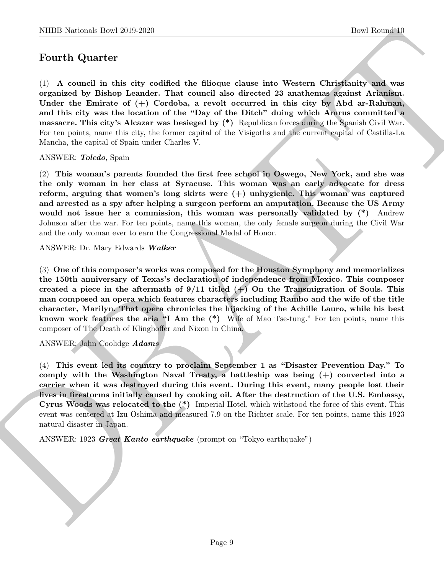# Fourth Quarter

NIBB Notional- how 22(4-222)<br>
Down Herecha)<br>
Down Herecha)<br>
To America The Control in this city condition the illiotropic channel at<br>
the operator of the Park of the Society of the Society of the Society of<br>
Down the film (1) A council in this city codified the filioque clause into Western Christianity and was organized by Bishop Leander. That council also directed 23 anathemas against Arianism. Under the Emirate of  $(+)$  Cordoba, a revolt occurred in this city by Abd ar-Rahman, and this city was the location of the "Day of the Ditch" duing which Amrus committed a massacre. This city's Alcazar was besieged by (\*) Republican forces during the Spanish Civil War. For ten points, name this city, the former capital of the Visigoths and the current capital of Castilla-La Mancha, the capital of Spain under Charles V.

#### ANSWER: Toledo, Spain

(2) This woman's parents founded the first free school in Oswego, New York, and she was the only woman in her class at Syracuse. This woman was an early advocate for dress reform, arguing that women's long skirts were (+) unhygienic. This woman was captured and arrested as a spy after helping a surgeon perform an amputation. Because the US Army would not issue her a commission, this woman was personally validated by  $(*)$  Andrew Johnson after the war. For ten points, name this woman, the only female surgeon during the Civil War and the only woman ever to earn the Congressional Medal of Honor.

ANSWER: Dr. Mary Edwards Walker

(3) One of this composer's works was composed for the Houston Symphony and memorializes the 150th anniversary of Texas's declaration of independence from Mexico. This composer created a piece in the aftermath of  $9/11$  titled  $(+)$  On the Transmigration of Souls. This man composed an opera which features characters including Rambo and the wife of the title character, Marilyn. That opera chronicles the hijacking of the Achille Lauro, while his best known work features the aria "I Am the (\*) Wife of Mao Tse-tung." For ten points, name this composer of The Death of Klinghoffer and Nixon in China.

ANSWER: John Coolidge Adams

(4) This event led its country to proclaim September 1 as "Disaster Prevention Day." To comply with the Washington Naval Treaty, a battleship was being (+) converted into a carrier when it was destroyed during this event. During this event, many people lost their lives in firestorms initially caused by cooking oil. After the destruction of the U.S. Embassy, Cyrus Woods was relocated to the (\*) Imperial Hotel, which withstood the force of this event. This event was centered at Izu Oshima and measured 7.9 on the Richter scale. For ten points, name this 1923 natural disaster in Japan.

ANSWER: 1923 Great Kanto earthquake (prompt on "Tokyo earthquake")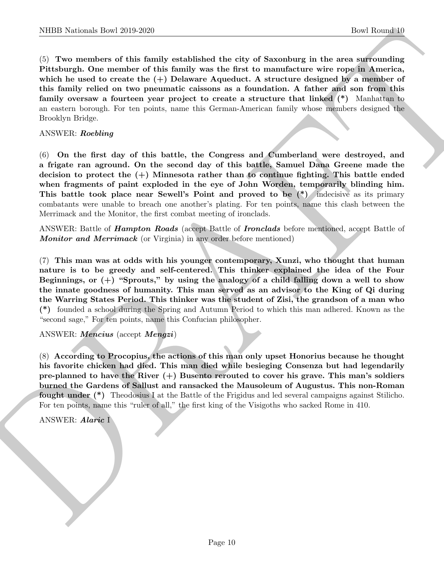NIBB Notional- how 20:0 2020<br>
Covariance of this family established the city of Sacondorer in the season state<br>
CoV are constructed to the family was the first to monuthernore wise regards.<br>
Prichargh, One member of this (5) Two members of this family established the city of Saxonburg in the area surrounding Pittsburgh. One member of this family was the first to manufacture wire rope in America, which he used to create the  $(+)$  Delaware Aqueduct. A structure designed by a member of this family relied on two pneumatic caissons as a foundation. A father and son from this family oversaw a fourteen year project to create a structure that linked (\*) Manhattan to an eastern borough. For ten points, name this German-American family whose members designed the Brooklyn Bridge.

ANSWER: Roebling

(6) On the first day of this battle, the Congress and Cumberland were destroyed, and a frigate ran aground. On the second day of this battle, Samuel Dana Greene made the decision to protect the  $(+)$  Minnesota rather than to continue fighting. This battle ended when fragments of paint exploded in the eye of John Worden, temporarily blinding him. This battle took place near Sewell's Point and proved to be (\*) indecisive as its primary combatants were unable to breach one another's plating. For ten points, name this clash between the Merrimack and the Monitor, the first combat meeting of ironclads.

ANSWER: Battle of **Hampton Roads** (accept Battle of **Ironclads** before mentioned, accept Battle of Monitor and Merrimack (or Virginia) in any order before mentioned)

(7) This man was at odds with his younger contemporary, Xunzi, who thought that human nature is to be greedy and self-centered. This thinker explained the idea of the Four Beginnings, or  $(+)$  "Sprouts," by using the analogy of a child falling down a well to show the innate goodness of humanity. This man served as an advisor to the King of Qi during the Warring States Period. This thinker was the student of Zisi, the grandson of a man who (\*) founded a school during the Spring and Autumn Period to which this man adhered. Known as the "second sage," For ten points, name this Confucian philosopher.

ANSWER: Mencius (accept Mengzi)

(8) According to Procopius, the actions of this man only upset Honorius because he thought his favorite chicken had died. This man died while besieging Consenza but had legendarily pre-planned to have the River  $(+)$  Busento rerouted to cover his grave. This man's soldiers burned the Gardens of Sallust and ransacked the Mausoleum of Augustus. This non-Roman fought under (\*) Theodosius I at the Battle of the Frigidus and led several campaigns against Stilicho. For ten points, name this "ruler of all," the first king of the Visigoths who sacked Rome in 410.

ANSWER: Alaric I